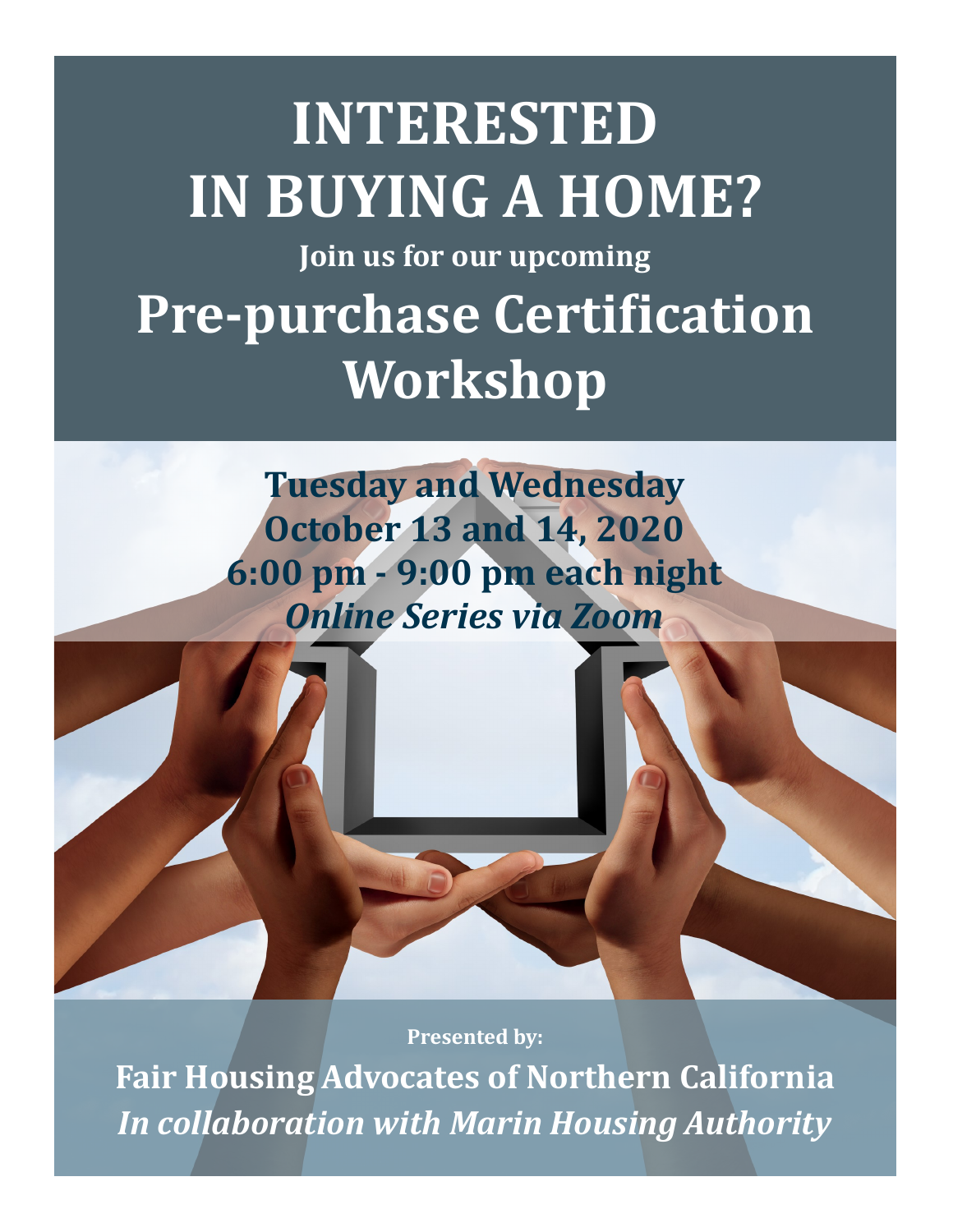# **INTERESTED IN BUYING A HOME? Join us for our upcoming Pre-purchase Certification Workshop**

**Tuesday and Wednesday October 13 and 14, 2020 6:00 pm - 9:00 pm each night** *Online Series via Zoom*

**Presented by:** 

**Fair Housing Advocates of Northern California**  *In collaboration with Marin Housing Authority*